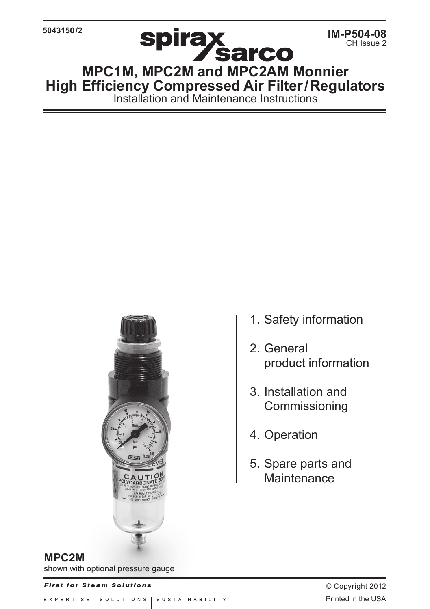**5043150/2**

**IM-P504-08** CH Issue 2

# **MPC1M, MPC2M and MPC2AM Monnier High Efficiency Compressed Air Filter/Regulators**

Installation and Maintenance Instructions



#### **MPC2M**

shown with optional pressure gauge

- 1. Safety information
- 2. General product information
- 3. Installation and Commissioning
- 4. Operation
- 5. Spare parts and **Maintenance**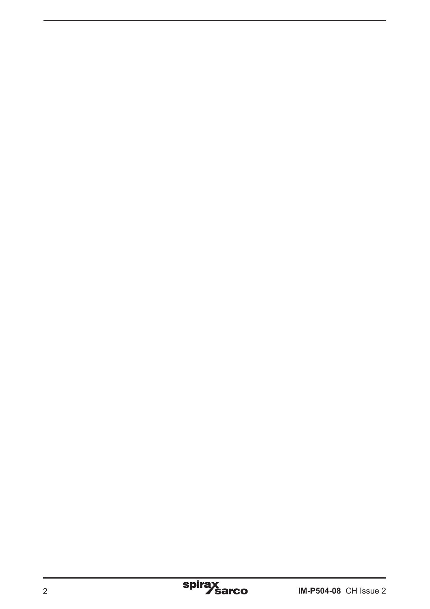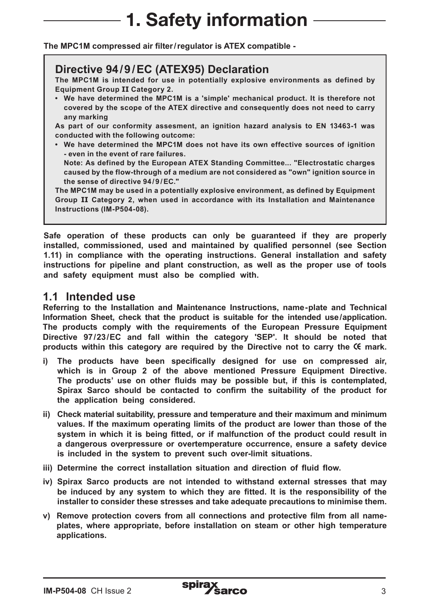**The MPC1M compressed air filter/regulator is ATEX compatible -** 

#### **Directive 94/9/EC (ATEX95) Declaration**

**The MPC1M is intended for use in potentially explosive environments as defined by Equipment Group II Category 2.**

**• We have determined the MPC1M is a 'simple' mechanical product. It is therefore not covered by the scope of the ATEX directive and consequently does not need to carry any marking**

**As part of our conformity assesment, an ignition hazard analysis to EN 13463-1 was conducted with the following outcome:**

**• We have determined the MPC1M does not have its own effective sources of ignition - even in the event of rare failures.**

**Note: As defined by the European ATEX Standing Committee... "Electrostatic charges caused by the flow-through of a medium are not considered as "own" ignition source in the sense of directive 94 / 9 /EC."**

**The MPC1M may be used in a potentially explosive environment, as defined by Equipment Group II Category 2, when used in accordance with its Installation and Maintenance Instructions (IM-P504-08).**

**Safe operation of these products can only be guaranteed if they are properly installed, commissioned, used and maintained by qualified personnel (see Section 1.11) in compliance with the operating instructions. General installation and safety instructions for pipeline and plant construction, as well as the proper use of tools and safety equipment must also be complied with.**

#### **1.1 Intended use**

**Referring to the Installation and Maintenance Instructions, name-plate and Technical Information Sheet, check that the product is suitable for the intended use/application. The products comply with the requirements of the European Pressure Equipment Directive 97/23/EC and fall within the category 'SEP'. It should be noted that products within this category are required by the Directive not to carry the mark.**

- **i) The products have been specifically designed for use on compressed air, which is in Group 2 of the above mentioned Pressure Equipment Directive. The products' use on other fluids may be possible but, if this is contemplated, Spirax Sarco should be contacted to confirm the suitability of the product for the application being considered.**
- **ii) Check material suitability, pressure and temperature and their maximum and minimum values. If the maximum operating limits of the product are lower than those of the system in which it is being fitted, or if malfunction of the product could result in a dangerous overpressure or overtemperature occurrence, ensure a safety device is included in the system to prevent such over-limit situations.**
- **iii) Determine the correct installation situation and direction of fluid flow.**
- **iv) Spirax Sarco products are not intended to withstand external stresses that may be induced by any system to which they are fitted. It is the responsibility of the installer to consider these stresses and take adequate precautions to minimise them.**
- **v) Remove protection covers from all connections and protective film from all nameplates, where appropriate, before installation on steam or other high temperature applications.**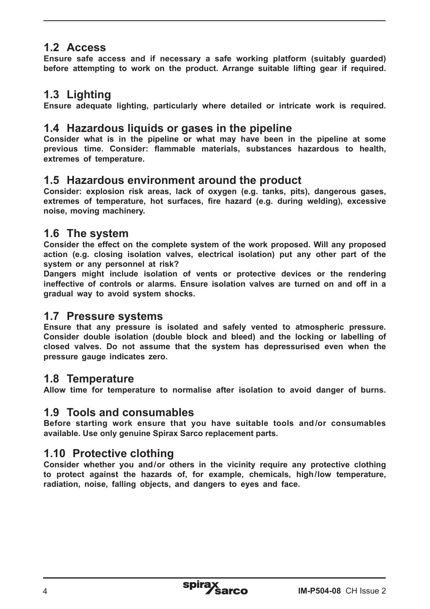### **1.2 Access**

**Ensure safe access and if necessary a safe working platform (suitably guarded) before attempting to work on the product. Arrange suitable lifting gear if required.**

### **1.3 Lighting**

**Ensure adequate lighting, particularly where detailed or intricate work is required.**

#### **1.4 Hazardous liquids or gases in the pipeline**

**Consider what is in the pipeline or what may have been in the pipeline at some previous time. Consider: flammable materials, substances hazardous to health, extremes of temperature.**

#### **1.5 Hazardous environment around the product**

**Consider: explosion risk areas, lack of oxygen (e.g. tanks, pits), dangerous gases, extremes of temperature, hot surfaces, fire hazard (e.g. during welding), excessive noise, moving machinery.**

#### **1.6 The system**

**Consider the effect on the complete system of the work proposed. Will any proposed action (e.g. closing isolation valves, electrical isolation) put any other part of the system or any personnel at risk?** 

**Dangers might include isolation of vents or protective devices or the rendering ineffective of controls or alarms. Ensure isolation valves are turned on and off in a gradual way to avoid system shocks.**

#### **1.7 Pressure systems**

**Ensure that any pressure is isolated and safely vented to atmospheric pressure. Consider double isolation (double block and bleed) and the locking or labelling of closed valves. Do not assume that the system has depressurised even when the pressure gauge indicates zero.**

#### **1.8 Temperature**

**Allow time for temperature to normalise after isolation to avoid danger of burns.**

#### **1.9 Tools and consumables**

**Before starting work ensure that you have suitable tools and /or consumables available. Use only genuine Spirax Sarco replacement parts.**

#### **1.10 Protective clothing**

**Consider whether you and/or others in the vicinity require any protective clothing to protect against the hazards of, for example, chemicals, high/low temperature, radiation, noise, falling objects, and dangers to eyes and face.**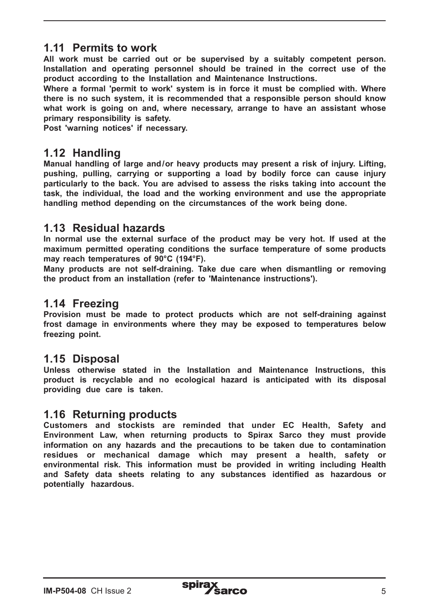#### **1.11 Permits to work**

**All work must be carried out or be supervised by a suitably competent person. Installation and operating personnel should be trained in the correct use of the product according to the Installation and Maintenance Instructions.**

**Where a formal 'permit to work' system is in force it must be complied with. Where there is no such system, it is recommended that a responsible person should know what work is going on and, where necessary, arrange to have an assistant whose primary responsibility is safety.**

**Post 'warning notices' if necessary.**

#### **1.12 Handling**

**Manual handling of large and/or heavy products may present a risk of injury. Lifting, pushing, pulling, carrying or supporting a load by bodily force can cause injury particularly to the back. You are advised to assess the risks taking into account the task, the individual, the load and the working environment and use the appropriate handling method depending on the circumstances of the work being done.**

#### **1.13 Residual hazards**

**In normal use the external surface of the product may be very hot. If used at the maximum permitted operating conditions the surface temperature of some products may reach temperatures of 90°C (194°F).**

**Many products are not self-draining. Take due care when dismantling or removing the product from an installation (refer to 'Maintenance instructions').**

#### **1.14 Freezing**

**Provision must be made to protect products which are not self-draining against frost damage in environments where they may be exposed to temperatures below freezing point.**

#### **1.15 Disposal**

**Unless otherwise stated in the Installation and Maintenance Instructions, this product is recyclable and no ecological hazard is anticipated with its disposal providing due care is taken.**

#### **1.16 Returning products**

**Customers and stockists are reminded that under EC Health, Safety and Environment Law, when returning products to Spirax Sarco they must provide information on any hazards and the precautions to be taken due to contamination residues or mechanical damage which may present a health, safety or environmental risk. This information must be provided in writing including Health and Safety data sheets relating to any substances identified as hazardous or potentially hazardous.**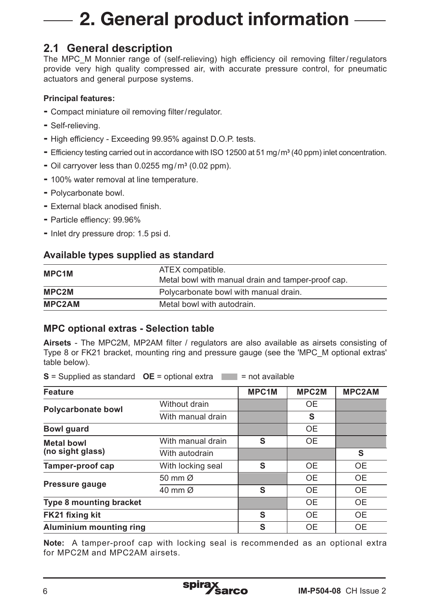# $-$  2. General product information  $-$

### **2.1 General description**

The MPC M Monnier range of (self-relieving) high efficiency oil removing filter/regulators provide very high quality compressed air, with accurate pressure control, for pneumatic actuators and general purpose systems.

#### **Principal features:**

- **-** Compact miniature oil removing filter/regulator.
- **-** Self-relieving.
- **-** High efficiency Exceeding 99.95% against D.O.P. tests.
- **-** Efficiency testing carried out in accordance with ISO 12500 at 51 mg/m**<sup>3</sup>** (40 ppm) inlet concentration.
- **-** Oil carryover less than 0.0255 mg/m**<sup>3</sup>** (0.02 ppm).
- **-** 100% water removal at line temperature.
- **-** Polycarbonate bowl.
- **-** External black anodised finish.
- **-** Particle effiency: 99.96%
- **-** Inlet dry pressure drop: 1.5 psi d.

#### **Available types supplied as standard**

| MPC <sub>1</sub> M                             | ATEX compatible.<br>Metal bowl with manual drain and tamper-proof cap. |
|------------------------------------------------|------------------------------------------------------------------------|
| MPC2M<br>Polycarbonate bowl with manual drain. |                                                                        |
| <b>MPC2AM</b>                                  | Metal bowl with autodrain.                                             |

#### **MPC optional extras - Selection table**

**Airsets** - The MPC2M, MP2AM filter / regulators are also available as airsets consisting of Type 8 or FK21 bracket, mounting ring and pressure gauge (see the 'MPC\_M optional extras' table below).

 $S =$  Supplied as standard  $OE =$  optional extra  $\Box$  = not available

| <b>Feature</b>          |                   | MPC <sub>1</sub> M | MPC2M     | MPC2AM    |
|-------------------------|-------------------|--------------------|-----------|-----------|
| Polycarbonate bowl      | Without drain     |                    | <b>OE</b> |           |
|                         | With manual drain |                    | S         |           |
| <b>Bowl</b> guard       |                   |                    | <b>OE</b> |           |
| <b>Metal bowl</b>       | With manual drain | S                  | <b>OE</b> |           |
| (no sight glass)        | With autodrain    |                    |           | S         |
| Tamper-proof cap        | With locking seal | S                  | <b>OE</b> | <b>OE</b> |
| Pressure gauge          | 50 mm Ø           |                    | <b>OE</b> | OE.       |
|                         | 40 mm Ø           | S                  | <b>OE</b> | <b>OE</b> |
| Type 8 mounting bracket |                   |                    | <b>OE</b> | OE.       |
| <b>FK21 fixing kit</b>  |                   | S                  | <b>OE</b> | <b>OE</b> |
| Aluminium mounting ring |                   | s                  | <b>OE</b> | OE.       |

**Note:** A tamper-proof cap with locking seal is recommended as an optional extra for MPC2M and MPC2AM airsets.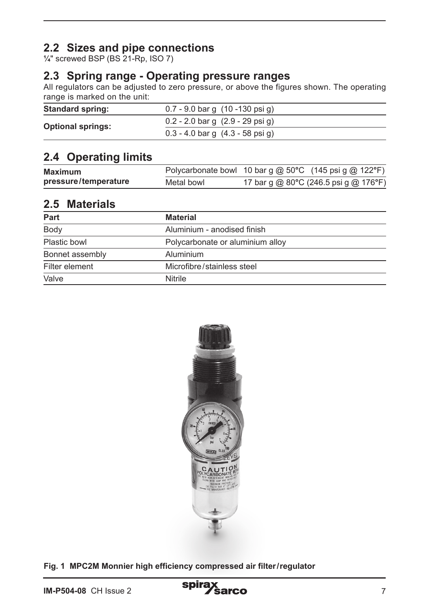# **2.2 Sizes and pipe connections**

**¼**" screwed BSP (BS 21-Rp, ISO 7)

# **2.3 Spring range - Operating pressure ranges**

All regulators can be adjusted to zero pressure, or above the figures shown. The operating range is marked on the unit:

| <b>Standard spring:</b>  | $0.7 - 9.0$ bar q $(10 - 130)$ psi q) |
|--------------------------|---------------------------------------|
| <b>Optional springs:</b> | $0.2 - 2.0$ bar g $(2.9 - 29$ psi g)  |
|                          | $0.3 - 4.0$ bar q $(4.3 - 58$ psi q)  |

# **2.4 Operating limits**

| Maximum              |            | Polycarbonate bowl 10 bar g @ 50 $\degree$ C (145 psi g @ 122 $\degree$ F) |
|----------------------|------------|----------------------------------------------------------------------------|
| pressure/temperature | Metal bowl | 17 bar g @ 80°C (246.5 psi g @ 176°F)                                      |

#### **2.5 Materials**

| Part            | <b>Material</b><br>Aluminium - anodised finish |  |
|-----------------|------------------------------------------------|--|
| Body            |                                                |  |
| Plastic bowl    | Polycarbonate or aluminium alloy               |  |
| Bonnet assembly | Aluminium                                      |  |
| Filter element  | Microfibre/stainless steel                     |  |
| Valve           | Nitrile                                        |  |



**Fig. 1 MPC2M Monnier high efficiency compressed air filter/regulator**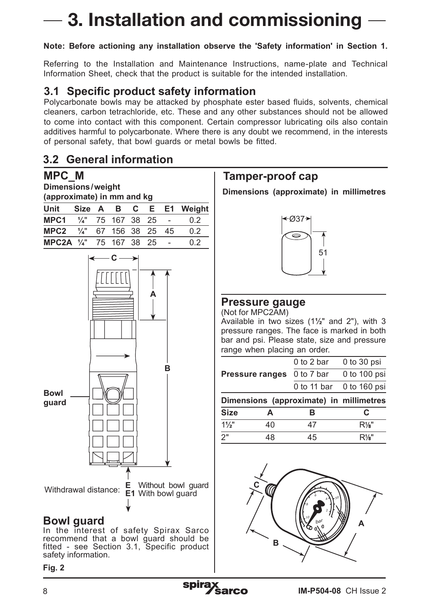# $-$  3. Installation and commissioning  $-$

#### **Note: Before actioning any installation observe the 'Safety information' in Section 1.**

Referring to the Installation and Maintenance Instructions, name-plate and Technical Information Sheet, check that the product is suitable for the intended installation.

# **3.1 Specific product safety information**

Polycarbonate bowls may be attacked by phosphate ester based fluids, solvents, chemical cleaners, carbon tetrachloride, etc. These and any other substances should not be allowed to come into contact with this component. Certain compressor lubricating oils also contain additives harmful to polycarbonate. Where there is any doubt we recommend, in the interests of personal safety, that bowl guards or metal bowls be fitted.

# **3.2 General information**



#### **Bowl guard**

In the interest of safety Spirax Sarco recommend that a bowl guard should be fitted - see Section 3.1, Specific product safety information.

#### **Fig. 2**

# **Tamper-proof cap**

**Dimensions (approximate) in millimetres**



#### **Pressure gauge**

(Not for MPC2AM)

Available in two sizes (1**½**" and 2"), with 3 pressure ranges. The face is marked in both bar and psi. Please state, size and pressure range when placing an order.

| <b>Pressure ranges</b> |    | $0$ to 2 bar                            | $0$ to $30$ psi  |  |
|------------------------|----|-----------------------------------------|------------------|--|
|                        |    | 0 to 7 bar                              | 0 to 100 psi     |  |
|                        |    | $0$ to 11 bar                           | 0 to 160 psi     |  |
|                        |    | Dimensions (approximate) in millimetres |                  |  |
| <b>Size</b>            | A  | в                                       | C                |  |
| 11/2                   | 40 | 47                                      | $R\frac{1}{8}$ " |  |
| $\overline{2}$ "       | 48 | 45                                      | $R\frac{1}{8}$ " |  |

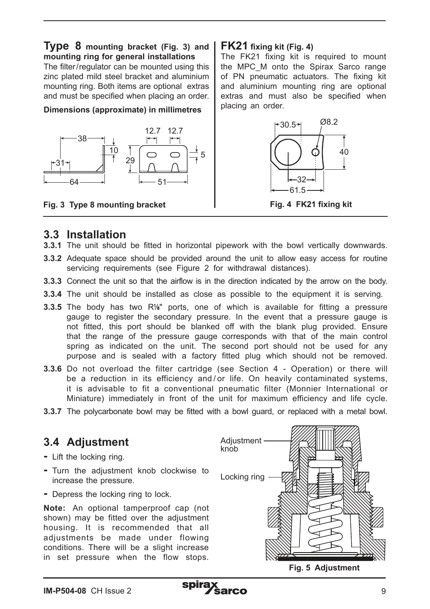

**Fig. 3 Type 8 mounting bracket**

64 51

#### **Fig. 4 FK21 fixing kit**

32 61.5

#### **3.3 Installation**

- **3.3.1** The unit should be fitted in horizontal pipework with the bowl vertically downwards.
- **3.3.2** Adequate space should be provided around the unit to allow easy access for routine servicing requirements (see Figure 2 for withdrawal distances).
- **3.3.3** Connect the unit so that the airflow is in the direction indicated by the arrow on the body.
- **3.3.4** The unit should be installed as close as possible to the equipment it is serving.
- **3.3.5** The body has two R<sup>1/8</sup>" ports, one of which is available for fitting a pressure gauge to register the secondary pressure. In the event that a pressure gauge is not fitted, this port should be blanked off with the blank plug provided. Ensure that the range of the pressure gauge corresponds with that of the main control spring as indicated on the unit. The second port should not be used for any purpose and is sealed with a factory fitted plug which should not be removed.
- **3.3.6** Do not overload the filter cartridge (see Section 4 Operation) or there will be a reduction in its efficiency and/or life. On heavily contaminated systems, it is advisable to fit a conventional pneumatic filter (Monnier International or Miniature) immediately in front of the unit for maximum efficiency and life cycle.
- **3.3.7** The polycarbonate bowl may be fitted with a bowl guard, or replaced with a metal bowl.

#### **3.4 Adjustment**

- **-** Lift the locking ring.
- **-** Turn the adjustment knob clockwise to increase the pressure.
- **-** Depress the locking ring to lock.

**Note:** An optional tamperproof cap (not shown) may be fitted over the adjustment housing. It is recommended that all adjustments be made under flowing conditions. There will be a slight increase in set pressure when the flow stops.



**Fig. 5 Adjustment**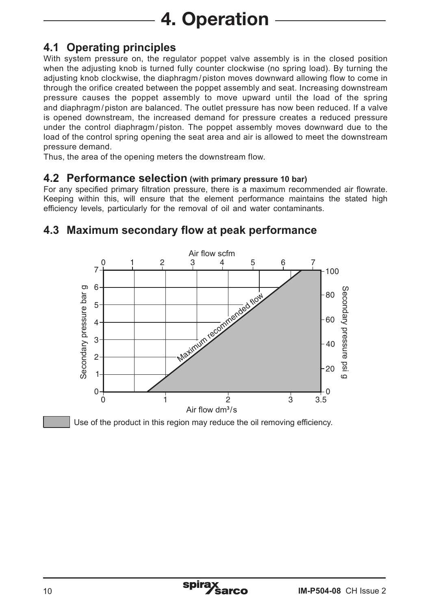# **4.1 Operating principles**

With system pressure on, the regulator poppet valve assembly is in the closed position when the adjusting knob is turned fully counter clockwise (no spring load). By turning the adjusting knob clockwise, the diaphragm / piston moves downward allowing flow to come in through the orifice created between the poppet assembly and seat. Increasing downstream pressure causes the poppet assembly to move upward until the load of the spring and diaphragm / piston are balanced. The outlet pressure has now been reduced. If a valve is opened downstream, the increased demand for pressure creates a reduced pressure under the control diaphragm / piston. The poppet assembly moves downward due to the load of the control spring opening the seat area and air is allowed to meet the downstream pressure demand.

Thus, the area of the opening meters the downstream flow.

#### **4.2 Performance selection (with primary pressure 10 bar)**

For any specified primary filtration pressure, there is a maximum recommended air flowrate. Keeping within this, will ensure that the element performance maintains the stated high efficiency levels, particularly for the removal of oil and water contaminants.





Use of the product in this region may reduce the oil removing efficiency.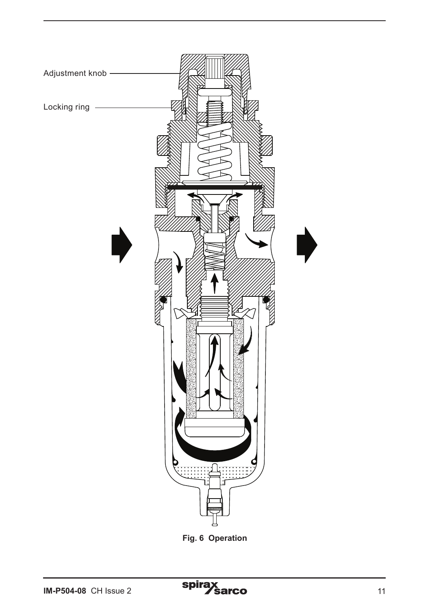

**Fig. 6 Operation**